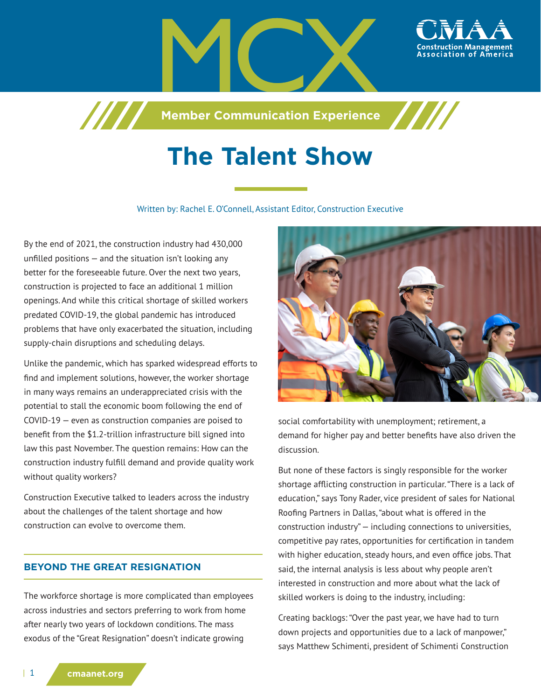

**Member Communication Experience**

# **The Talent Show**

Written by: Rachel E. O'Connell, Assistant Editor, Construction Executive

By the end of 2021, the construction industry had 430,000 unfilled positions — and the situation isn't looking any better for the foreseeable future. Over the next two years, construction is projected to face an additional 1 million openings. And while this critical shortage of skilled workers predated COVID-19, the global pandemic has introduced problems that have only exacerbated the situation, including supply-chain disruptions and scheduling delays.

7777

Unlike the pandemic, which has sparked widespread efforts to find and implement solutions, however, the worker shortage in many ways remains an underappreciated crisis with the potential to stall the economic boom following the end of COVID-19 — even as construction companies are poised to benefit from the \$1.2-trillion infrastructure bill signed into law this past November. The question remains: How can the construction industry fulfill demand and provide quality work without quality workers?

Construction Executive talked to leaders across the industry about the challenges of the talent shortage and how construction can evolve to overcome them.

## **BEYOND THE GREAT RESIGNATION**

The workforce shortage is more complicated than employees across industries and sectors preferring to work from home after nearly two years of lockdown conditions. The mass exodus of the "Great Resignation" doesn't indicate growing



social comfortability with unemployment; retirement, a demand for higher pay and better benefits have also driven the discussion.

But none of these factors is singly responsible for the worker shortage afflicting construction in particular. "There is a lack of education," says Tony Rader, vice president of sales for National Roofing Partners in Dallas, "about what is offered in the construction industry" — including connections to universities, competitive pay rates, opportunities for certification in tandem with higher education, steady hours, and even office jobs. That said, the internal analysis is less about why people aren't interested in construction and more about what the lack of skilled workers is doing to the industry, including:

Creating backlogs: "Over the past year, we have had to turn down projects and opportunities due to a lack of manpower," says Matthew Schimenti, president of Schimenti Construction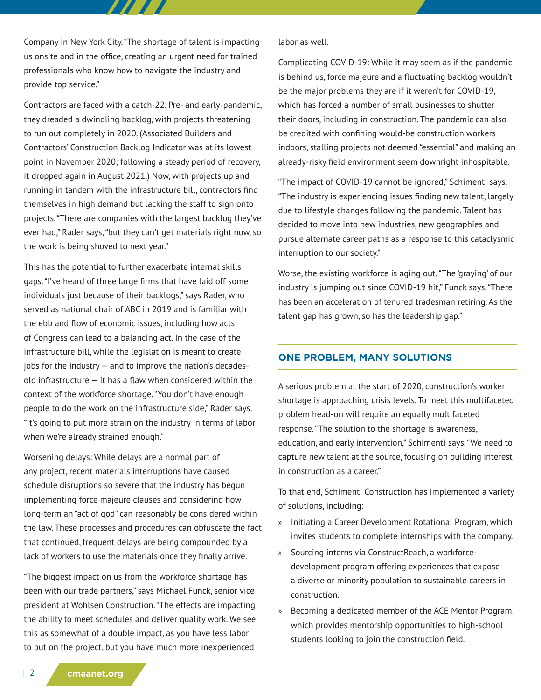Company in New York City. "The shortage of talent is impacting us onsite and in the office, creating an urgent need for trained professionals who know how to navigate the industry and provide top service."

777 T

Contractors are faced with a catch-22. Pre- and early-pandemic, they dreaded a dwindling backlog, with projects threatening to run out completely in 2020. (Associated Builders and Contractors' Construction Backlog Indicator was at its lowest point in November 2020; following a steady period of recovery, it dropped again in August 2021.) Now, with projects up and running in tandem with the infrastructure bill, contractors find themselves in high demand but lacking the staff to sign onto projects. "There are companies with the largest backlog they've ever had," Rader says, "but they can't get materials right now, so the work is being shoved to next year."

This has the potential to further exacerbate internal skills gaps. "I've heard of three large firms that have laid off some individuals just because of their backlogs," says Rader, who served as national chair of ABC in 2019 and is familiar with the ebb and flow of economic issues, including how acts of Congress can lead to a balancing act. In the case of the infrastructure bill, while the legislation is meant to create  $i$ obs for the industry  $-$  and to improve the nation's decadesold infrastructure  $-$  it has a flaw when considered within the context of the workforce shortage. "You don't have enough people to do the work on the infrastructure side," Rader says. "It's going to put more strain on the industry in terms of labor when we're already strained enough."

Worsening delays: While delays are a normal part of any project, recent materials interruptions have caused schedule disruptions so severe that the industry has begun implementing force majeure clauses and considering how long-term an "act of god" can reasonably be considered within the law. These processes and procedures can obfuscate the fact that continued, frequent delays are being compounded by a lack of workers to use the materials once they finally arrive.

"The biggest impact on us from the workforce shortage has been with our trade partners," says Michael Funck, senior vice president at Wohlsen Construction. "The effects are impacting the ability to meet schedules and deliver quality work. We see this as somewhat of a double impact, as you have less labor to put on the project, but you have much more inexperienced

labor as well.

Complicating COVID-19: While it may seem as if the pandemic is behind us, force majeure and a fluctuating backlog wouldn't be the major problems they are if it weren't for COVID-19, which has forced a number of small businesses to shutter their doors, including in construction. The pandemic can also be credited with confining would-be construction workers indoors, stalling projects not deemed "essential" and making an already-risky field environment seem downright inhospitable.

"The impact of COVID-19 cannot be ignored," Schimenti says. "The industry is experiencing issues finding new talent, largely due to lifestyle changes following the pandemic. Talent has decided to move into new industries, new geographies and pursue alternate career paths as a response to this cataclysmic interruption to our society."

Worse, the existing workforce is aging out. "The 'graying' of our industry is jumping out since COVID-19 hit," Funck says. "There has been an acceleration of tenured tradesman retiring. As the talent gap has grown, so has the leadership gap."

## **ONE PROBLEM, MANY SOLUTIONS**

A serious problem at the start of 2020, construction's worker shortage is approaching crisis levels. To meet this multifaceted problem head-on will require an equally multifaceted response. "The solution to the shortage is awareness, education, and early intervention," Schimenti says. "We need to capture new talent at the source, focusing on building interest in construction as a career."

To that end, Schimenti Construction has implemented a variety of solutions, including:

- » Initiating a Career Development Rotational Program, which invites students to complete internships with the company.
- » Sourcing interns via ConstructReach, a workforcedevelopment program offering experiences that expose a diverse or minority population to sustainable careers in construction.
- » Becoming a dedicated member of the ACE Mentor Program, which provides mentorship opportunities to high-school students looking to join the construction field.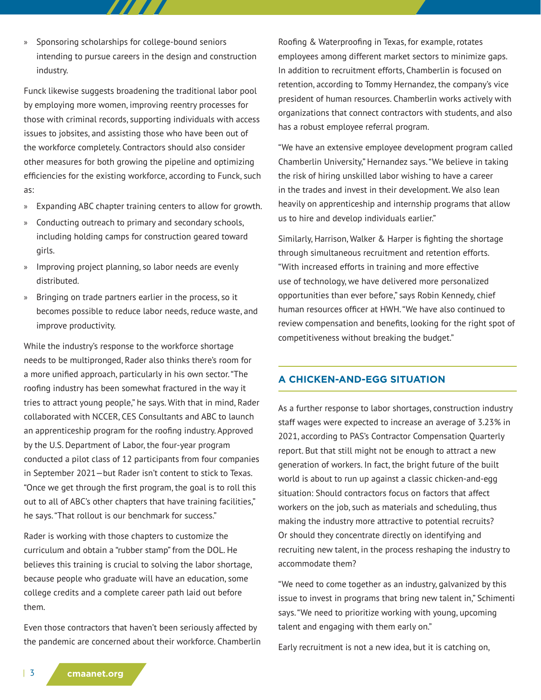» Sponsoring scholarships for college-bound seniors intending to pursue careers in the design and construction industry.

777 T

Funck likewise suggests broadening the traditional labor pool by employing more women, improving reentry processes for those with criminal records, supporting individuals with access issues to jobsites, and assisting those who have been out of the workforce completely. Contractors should also consider other measures for both growing the pipeline and optimizing efficiencies for the existing workforce, according to Funck, such as:

- » Expanding ABC chapter training centers to allow for growth.
- » Conducting outreach to primary and secondary schools, including holding camps for construction geared toward girls.
- » Improving project planning, so labor needs are evenly distributed.
- » Bringing on trade partners earlier in the process, so it becomes possible to reduce labor needs, reduce waste, and improve productivity.

While the industry's response to the workforce shortage needs to be multipronged, Rader also thinks there's room for a more unified approach, particularly in his own sector. "The roofing industry has been somewhat fractured in the way it tries to attract young people," he says. With that in mind, Rader collaborated with NCCER, CES Consultants and ABC to launch an apprenticeship program for the roofing industry. Approved by the U.S. Department of Labor, the four-year program conducted a pilot class of 12 participants from four companies in September 2021—but Rader isn't content to stick to Texas. "Once we get through the first program, the goal is to roll this out to all of ABC's other chapters that have training facilities," he says. "That rollout is our benchmark for success."

Rader is working with those chapters to customize the curriculum and obtain a "rubber stamp" from the DOL. He believes this training is crucial to solving the labor shortage, because people who graduate will have an education, some college credits and a complete career path laid out before them.

Even those contractors that haven't been seriously affected by the pandemic are concerned about their workforce. Chamberlin

Roofing & Waterproofing in Texas, for example, rotates employees among different market sectors to minimize gaps. In addition to recruitment efforts, Chamberlin is focused on retention, according to Tommy Hernandez, the company's vice president of human resources. Chamberlin works actively with organizations that connect contractors with students, and also has a robust employee referral program.

"We have an extensive employee development program called Chamberlin University," Hernandez says. "We believe in taking the risk of hiring unskilled labor wishing to have a career in the trades and invest in their development. We also lean heavily on apprenticeship and internship programs that allow us to hire and develop individuals earlier."

Similarly, Harrison, Walker & Harper is fighting the shortage through simultaneous recruitment and retention efforts. "With increased efforts in training and more effective use of technology, we have delivered more personalized opportunities than ever before," says Robin Kennedy, chief human resources officer at HWH. "We have also continued to review compensation and benefits, looking for the right spot of competitiveness without breaking the budget."

## **A CHICKEN-AND-EGG SITUATION**

As a further response to labor shortages, construction industry staff wages were expected to increase an average of 3.23% in 2021, according to PAS's Contractor Compensation Quarterly report. But that still might not be enough to attract a new generation of workers. In fact, the bright future of the built world is about to run up against a classic chicken-and-egg situation: Should contractors focus on factors that affect workers on the job, such as materials and scheduling, thus making the industry more attractive to potential recruits? Or should they concentrate directly on identifying and recruiting new talent, in the process reshaping the industry to accommodate them?

"We need to come together as an industry, galvanized by this issue to invest in programs that bring new talent in," Schimenti says. "We need to prioritize working with young, upcoming talent and engaging with them early on."

Early recruitment is not a new idea, but it is catching on,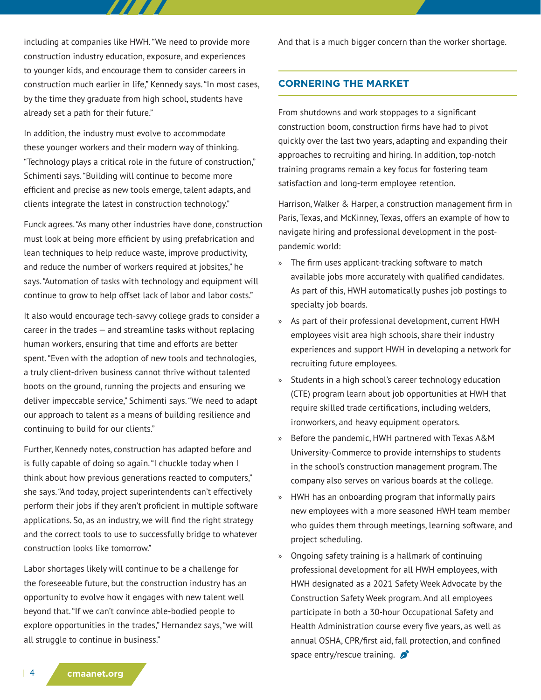including at companies like HWH. "We need to provide more construction industry education, exposure, and experiences to younger kids, and encourage them to consider careers in construction much earlier in life," Kennedy says. "In most cases, by the time they graduate from high school, students have already set a path for their future."

77 T T

In addition, the industry must evolve to accommodate these younger workers and their modern way of thinking. "Technology plays a critical role in the future of construction," Schimenti says. "Building will continue to become more efficient and precise as new tools emerge, talent adapts, and clients integrate the latest in construction technology."

Funck agrees. "As many other industries have done, construction must look at being more efficient by using prefabrication and lean techniques to help reduce waste, improve productivity, and reduce the number of workers required at jobsites," he says. "Automation of tasks with technology and equipment will continue to grow to help offset lack of labor and labor costs."

It also would encourage tech-savvy college grads to consider a career in the trades — and streamline tasks without replacing human workers, ensuring that time and efforts are better spent. "Even with the adoption of new tools and technologies, a truly client-driven business cannot thrive without talented boots on the ground, running the projects and ensuring we deliver impeccable service," Schimenti says. "We need to adapt our approach to talent as a means of building resilience and continuing to build for our clients."

Further, Kennedy notes, construction has adapted before and is fully capable of doing so again. "I chuckle today when I think about how previous generations reacted to computers," she says. "And today, project superintendents can't effectively perform their jobs if they aren't proficient in multiple software applications. So, as an industry, we will find the right strategy and the correct tools to use to successfully bridge to whatever construction looks like tomorrow."

Labor shortages likely will continue to be a challenge for the foreseeable future, but the construction industry has an opportunity to evolve how it engages with new talent well beyond that. "If we can't convince able-bodied people to explore opportunities in the trades," Hernandez says, "we will all struggle to continue in business."

And that is a much bigger concern than the worker shortage.

#### **CORNERING THE MARKET**

From shutdowns and work stoppages to a significant construction boom, construction firms have had to pivot quickly over the last two years, adapting and expanding their approaches to recruiting and hiring. In addition, top-notch training programs remain a key focus for fostering team satisfaction and long-term employee retention.

Harrison, Walker & Harper, a construction management firm in Paris, Texas, and McKinney, Texas, offers an example of how to navigate hiring and professional development in the postpandemic world:

- » The firm uses applicant-tracking software to match available jobs more accurately with qualified candidates. As part of this, HWH automatically pushes job postings to specialty job boards.
- » As part of their professional development, current HWH employees visit area high schools, share their industry experiences and support HWH in developing a network for recruiting future employees.
- » Students in a high school's career technology education (CTE) program learn about job opportunities at HWH that require skilled trade certifications, including welders, ironworkers, and heavy equipment operators.
- » Before the pandemic, HWH partnered with Texas A&M University-Commerce to provide internships to students in the school's construction management program. The company also serves on various boards at the college.
- » HWH has an onboarding program that informally pairs new employees with a more seasoned HWH team member who guides them through meetings, learning software, and project scheduling.
- » Ongoing safety training is a hallmark of continuing professional development for all HWH employees, with HWH designated as a 2021 Safety Week Advocate by the Construction Safety Week program. And all employees participate in both a 30-hour Occupational Safety and Health Administration course every five years, as well as annual OSHA, CPR/first aid, fall protection, and confined space entry/rescue training.